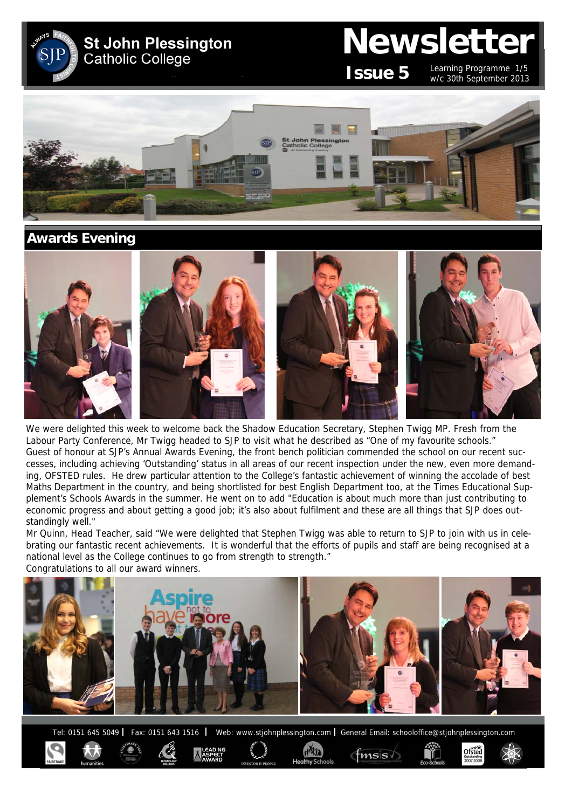**St John Plessington Catholic College** 

# **Newsletter**

**Issue 5**

Learning Programme 1/5 w/c 30th September 2013

Ofsted



# **Awards Evening**



We were delighted this week to welcome back the Shadow Education Secretary, Stephen Twigg MP. Fresh from the Labour Party Conference, Mr Twigg headed to SJP to visit what he described as "One of my favourite schools." Guest of honour at SJP's Annual Awards Evening, the front bench politician commended the school on our recent successes, including achieving 'Outstanding' status in all areas of our recent inspection under the new, even more demanding, OFSTED rules. He drew particular attention to the College's fantastic achievement of winning the accolade of best Maths Department in the country, and being shortlisted for best English Department too, at the Times Educational Supplement's Schools Awards in the summer. He went on to add "Education is about much more than just contributing to economic progress and about getting a good job; it's also about fulfilment and these are all things that SJP does outstandingly well."

Mr Quinn, Head Teacher, said "We were delighted that Stephen Twigg was able to return to SJP to join with us in celebrating our fantastic recent achievements. It is wonderful that the efforts of pupils and staff are being recognised at a national level as the College continues to go from strength to strength." Congratulations to all our award winners.



Tel: 0151 645 5049 | Fax: 0151 643 1516 | Web: www.stjohnplessington.com | General Email: schooloffice@stjohnplessington.com

 $f$ msis $\sqrt{ }$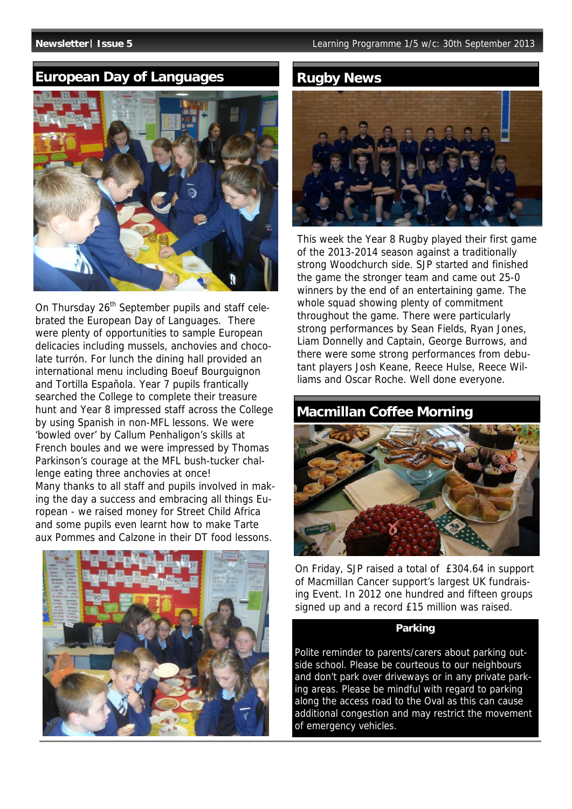# **European Day of Languages Communist Rugby News**



On Thursday 26<sup>th</sup> September pupils and staff celebrated the European Day of Languages. There were plenty of opportunities to sample European delicacies including mussels, anchovies and chocolate turrón. For lunch the dining hall provided an international menu including Boeuf Bourguignon and Tortilla Española. Year 7 pupils frantically searched the College to complete their treasure hunt and Year 8 impressed staff across the College by using Spanish in non-MFL lessons. We were 'bowled over' by Callum Penhaligon's skills at French boules and we were impressed by Thomas Parkinson's courage at the MFL bush-tucker challenge eating three anchovies at once! Many thanks to all staff and pupils involved in making the day a success and embracing all things European - we raised money for Street Child Africa and some pupils even learnt how to make Tarte aux Pommes and Calzone in their DT food lessons.





This week the Year 8 Rugby played their first game of the 2013-2014 season against a traditionally strong Woodchurch side. SJP started and finished the game the stronger team and came out 25-0 winners by the end of an entertaining game. The whole squad showing plenty of commitment throughout the game. There were particularly strong performances by Sean Fields, Ryan Jones, Liam Donnelly and Captain, George Burrows, and there were some strong performances from debutant players Josh Keane, Reece Hulse, Reece Williams and Oscar Roche. Well done everyone.

# **Macmillan Coffee Morning**



On Friday, SJP raised a total of £304.64 in support of Macmillan Cancer support's largest UK fundraising Event. In 2012 one hundred and fifteen groups signed up and a record £15 million was raised.

### **Parking**

Polite reminder to parents/carers about parking outside school. Please be courteous to our neighbours and don't park over driveways or in any private parking areas. Please be mindful with regard to parking along the access road to the Oval as this can cause additional congestion and may restrict the movement of emergency vehicles.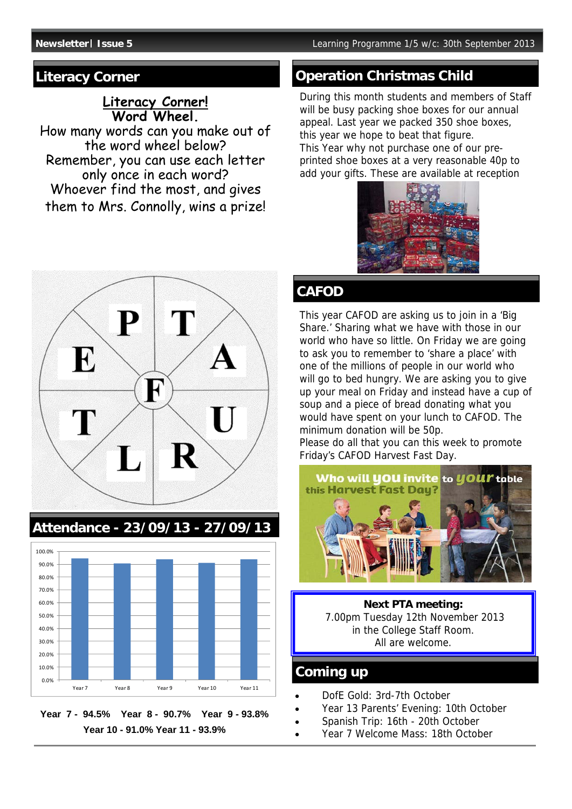### **Literacy Corner! Word Wheel.**

How many words can you make out of the word wheel below? Remember, you can use each letter only once in each word? Whoever find the most, and gives them to Mrs. Connolly, wins a prize!



# **Attendance - 23/09/13 - 27/09/13**





# **Literacy Corner Construction Christmas Child Construction Christmas Child**

During this month students and members of Staff will be busy packing shoe boxes for our annual appeal. Last year we packed 350 shoe boxes, this year we hope to beat that figure. This Year why not purchase one of our preprinted shoe boxes at a very reasonable 40p to add your gifts. These are available at reception



# **CAFOD**

This year CAFOD are asking us to join in a 'Big Share.' Sharing what we have with those in our world who have so little. On Friday we are going to ask you to remember to 'share a place' with one of the millions of people in our world who will go to bed hungry. We are asking you to give up your meal on Friday and instead have a cup of soup and a piece of bread donating what you would have spent on your lunch to CAFOD. The minimum donation will be 50p.

Please do all that you can this week to promote Friday's CAFOD Harvest Fast Day.



**Next PTA meeting:**  7.00pm Tuesday 12th November 2013 in the College Staff Room. All are welcome.

## **Coming up**

- DofE Gold: 3rd-7th October
- Year 13 Parents' Evening: 10th October
- Spanish Trip: 16th 20th October
- Year 7 Welcome Mass: 18th October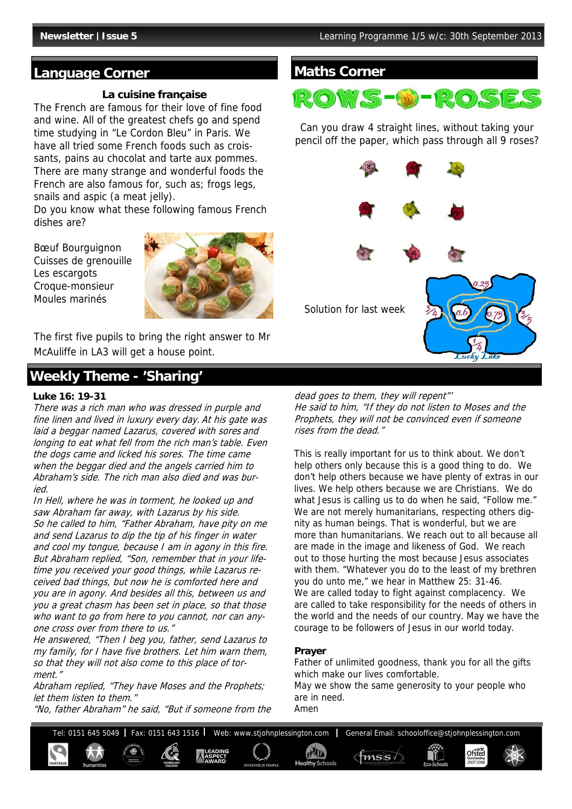#### **Language Corner**

#### **La cuisine française**

The French are famous for their love of fine food and wine. All of the greatest chefs go and spend time studying in "Le Cordon Bleu" in Paris. We have all tried some French foods such as croissants, pains au chocolat and tarte aux pommes. There are many strange and wonderful foods the French are also famous for, such as; frogs legs, snails and aspic (a meat jelly).

Do you know what these following famous French dishes are?

Bœuf Bourguignon Cuisses de grenouille Les escargots Croque-monsieur Moules marinés



The first five pupils to bring the right answer to Mr McAuliffe in LA3 will get a house point.

# **Weekly Theme - 'Sharing'**

#### **Luke 16: 19-31**

There was a rich man who was dressed in purple and fine linen and lived in luxury every day. At his gate was laid a beggar named Lazarus, covered with sores and longing to eat what fell from the rich man's table. Even the dogs came and licked his sores. The time came when the beggar died and the angels carried him to Abraham's side. The rich man also died and was buried.

In Hell, where he was in torment, he looked up and saw Abraham far away, with Lazarus by his side. So he called to him, "Father Abraham, have pity on me and send Lazarus to dip the tip of his finger in water and cool my tongue, because I am in agony in this fire. But Abraham replied, "Son, remember that in your lifetime you received your good things, while Lazarus received bad things, but now he is comforted here and you are in agony. And besides all this, between us and you a great chasm has been set in place, so that those who want to go from here to you cannot, nor can anyone cross over from there to us."

He answered, "Then I beg you, father, send Lazarus to my family, for I have five brothers. Let him warn them, so that they will not also come to this place of torment."

Abraham replied, "They have Moses and the Prophets; let them listen to them."

"No, father Abraham" he said, "But if someone from the

### **Maths Corner**



Can you draw 4 straight lines, without taking your pencil off the paper, which pass through all 9 roses?



dead goes to them, they will repent"' He said to him, "If they do not listen to Moses and the Prophets, they will not be convinced even if someone rises from the dead."

This is really important for us to think about. We don't help others only because this is a good thing to do. We don't help others because we have plenty of extras in our lives. We help others because we are Christians. We do what Jesus is calling us to do when he said, "Follow me." We are not merely humanitarians, respecting others dignity as human beings. That is wonderful, but we are more than humanitarians. We reach out to all because all are made in the image and likeness of God. We reach out to those hurting the most because Jesus associates with them. "Whatever you do to the least of my brethren you do unto me," we hear in Matthew 25: 31-46. We are called today to fight against complacency. We are called to take responsibility for the needs of others in the world and the needs of our country. May we have the courage to be followers of Jesus in our world today.

#### **Prayer**

Father of unlimited goodness, thank you for all the gifts which make our lives comfortable.

May we show the same generosity to your people who are in need. Amen

Tel: 0151 645 5049 | Fax: 0151 643 1516 | Web: www.stjohnplessington.com | General Email: schooloffice@stjohnplessington.com Ofsted  $f$ <sub>msis</sub>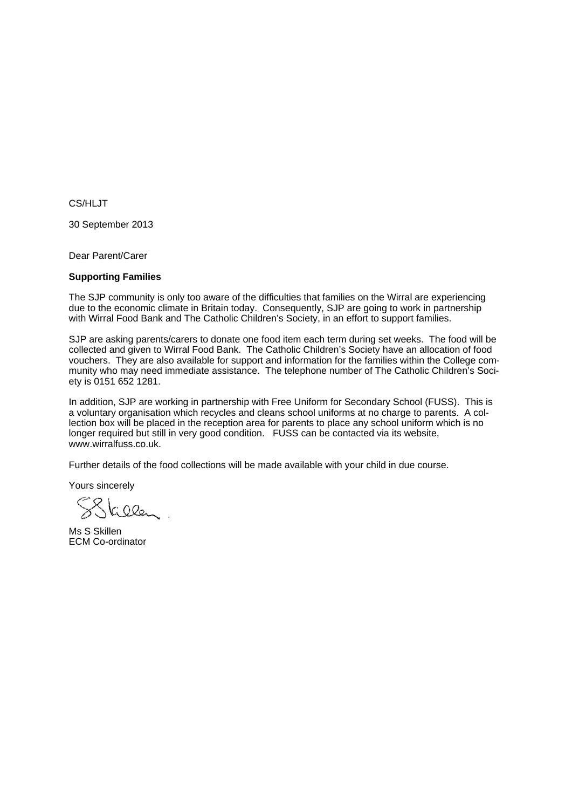CS/HLJT

30 September 2013

Dear Parent/Carer

#### **Supporting Families**

The SJP community is only too aware of the difficulties that families on the Wirral are experiencing due to the economic climate in Britain today. Consequently, SJP are going to work in partnership with Wirral Food Bank and The Catholic Children's Society, in an effort to support families.

SJP are asking parents/carers to donate one food item each term during set weeks. The food will be collected and given to Wirral Food Bank. The Catholic Children's Society have an allocation of food vouchers. They are also available for support and information for the families within the College community who may need immediate assistance. The telephone number of The Catholic Children's Society is 0151 652 1281.

In addition, SJP are working in partnership with Free Uniform for Secondary School (FUSS). This is a voluntary organisation which recycles and cleans school uniforms at no charge to parents. A collection box will be placed in the reception area for parents to place any school uniform which is no longer required but still in very good condition. FUSS can be contacted via its website, www.wirralfuss.co.uk.

Further details of the food collections will be made available with your child in due course.

Yours sincerely

SSkelen

Ms S Skillen ECM Co-ordinator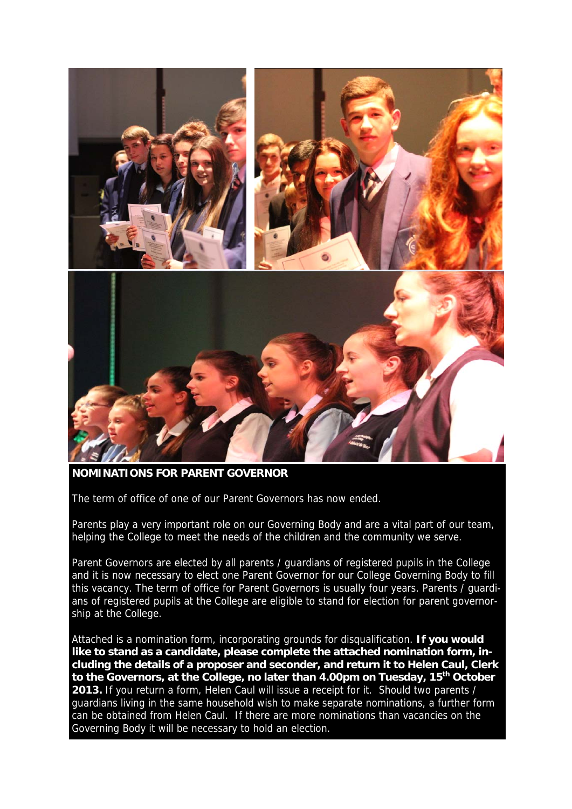

**NOMINATIONS FOR PARENT GOVERNOR** 

The term of office of one of our Parent Governors has now ended.

Parents play a very important role on our Governing Body and are a vital part of our team, helping the College to meet the needs of the children and the community we serve.

Parent Governors are elected by all parents / guardians of registered pupils in the College and it is now necessary to elect one Parent Governor for our College Governing Body to fill this vacancy. The term of office for Parent Governors is usually four years. Parents / guardians of registered pupils at the College are eligible to stand for election for parent governorship at the College.

Attached is a nomination form, incorporating grounds for disqualification. **If you would like to stand as a candidate, please complete the attached nomination form, including the details of a proposer and seconder, and return it to Helen Caul, Clerk to the Governors, at the College, no later than 4.00pm on Tuesday, 15th October 2013.** If you return a form, Helen Caul will issue a receipt for it. Should two parents / guardians living in the same household wish to make separate nominations, a further form can be obtained from Helen Caul. If there are more nominations than vacancies on the Governing Body it will be necessary to hold an election.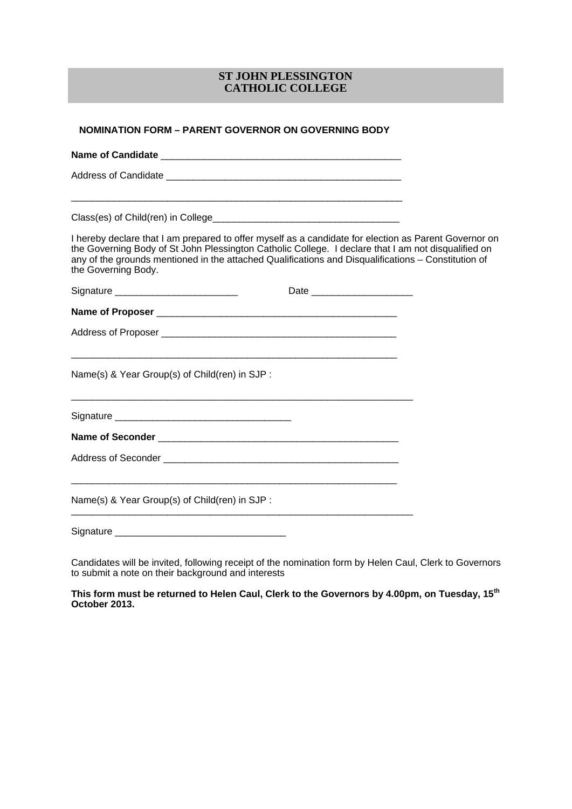#### **ST JOHN PLESSINGTON CATHOLIC COLLEGE**

| <b>NOMINATION FORM - PARENT GOVERNOR ON GOVERNING BODY</b>                                                                                                                                                                                                                                                                                 |  |
|--------------------------------------------------------------------------------------------------------------------------------------------------------------------------------------------------------------------------------------------------------------------------------------------------------------------------------------------|--|
|                                                                                                                                                                                                                                                                                                                                            |  |
|                                                                                                                                                                                                                                                                                                                                            |  |
|                                                                                                                                                                                                                                                                                                                                            |  |
| I hereby declare that I am prepared to offer myself as a candidate for election as Parent Governor on<br>the Governing Body of St John Plessington Catholic College. I declare that I am not disqualified on<br>any of the grounds mentioned in the attached Qualifications and Disqualifications - Constitution of<br>the Governing Body. |  |
| Signature _____________________________                                                                                                                                                                                                                                                                                                    |  |
|                                                                                                                                                                                                                                                                                                                                            |  |
|                                                                                                                                                                                                                                                                                                                                            |  |
| Name(s) & Year Group(s) of Child(ren) in SJP :                                                                                                                                                                                                                                                                                             |  |
|                                                                                                                                                                                                                                                                                                                                            |  |
|                                                                                                                                                                                                                                                                                                                                            |  |
|                                                                                                                                                                                                                                                                                                                                            |  |
| Name(s) & Year Group(s) of Child(ren) in SJP :                                                                                                                                                                                                                                                                                             |  |
| Signature and the state of the state of the state of the state of the state of the state of the state of the state of the state of the state of the state of the state of the state of the state of the state of the state of                                                                                                              |  |

Candidates will be invited, following receipt of the nomination form by Helen Caul, Clerk to Governors to submit a note on their background and interests

**This form must be returned to Helen Caul, Clerk to the Governors by 4.00pm, on Tuesday, 15th October 2013.**